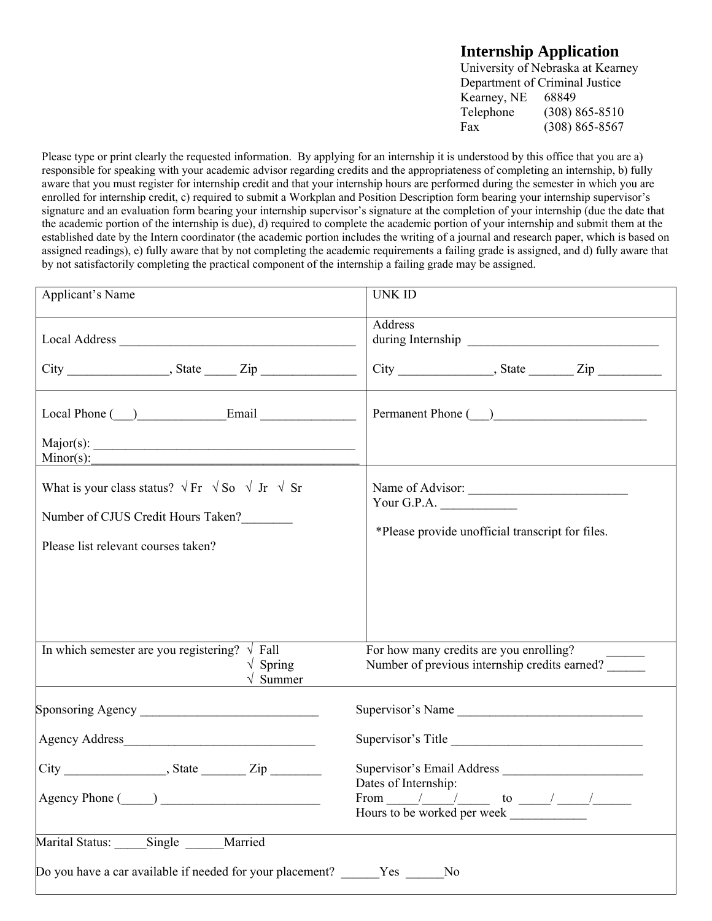## **Internship Application**

University of Nebraska at Kearney Department of Criminal Justice Kearney, NE 68849 Telephone (308) 865-8510 Fax (308) 865-8567

Please type or print clearly the requested information. By applying for an internship it is understood by this office that you are a) responsible for speaking with your academic advisor regarding credits and the appropriateness of completing an internship, b) fully aware that you must register for internship credit and that your internship hours are performed during the semester in which you are enrolled for internship credit, c) required to submit a Workplan and Position Description form bearing your internship supervisor's signature and an evaluation form bearing your internship supervisor's signature at the completion of your internship (due the date that the academic portion of the internship is due), d) required to complete the academic portion of your internship and submit them at the established date by the Intern coordinator (the academic portion includes the writing of a journal and research paper, which is based on assigned readings), e) fully aware that by not completing the academic requirements a failing grade is assigned, and d) fully aware that by not satisfactorily completing the practical component of the internship a failing grade may be assigned.

| Applicant's Name                                                                                                                                   | <b>UNK ID</b>                                                                                                  |
|----------------------------------------------------------------------------------------------------------------------------------------------------|----------------------------------------------------------------------------------------------------------------|
|                                                                                                                                                    | <b>Address</b>                                                                                                 |
|                                                                                                                                                    |                                                                                                                |
| Local Phone ( ) Email                                                                                                                              |                                                                                                                |
| $Minor(s)$ :                                                                                                                                       |                                                                                                                |
| What is your class status? $\sqrt{Fr} \sqrt{S}$ $\sqrt{J}r \sqrt{S}r$<br>Number of CJUS Credit Hours Taken?<br>Please list relevant courses taken? | Name of Advisor:<br>Your G.P.A. $\qquad \qquad$<br>*Please provide unofficial transcript for files.            |
| In which semester are you registering? $\sqrt{\text{Fall}}$<br>$\sqrt{\text{Spring}}$<br>$\sqrt{\ }$ Summer                                        | For how many credits are you enrolling?<br>Number of previous internship credits earned?                       |
|                                                                                                                                                    | Supervisor's Name                                                                                              |
|                                                                                                                                                    | Supervisor's Title                                                                                             |
|                                                                                                                                                    | Dates of Internship:<br>From $\frac{1}{\sqrt{2\pi}}$ to $\frac{1}{\sqrt{2\pi}}$<br>Hours to be worked per week |
| Marital Status: Single Married                                                                                                                     |                                                                                                                |
| Do you have a car available if needed for your placement? Yes No                                                                                   |                                                                                                                |